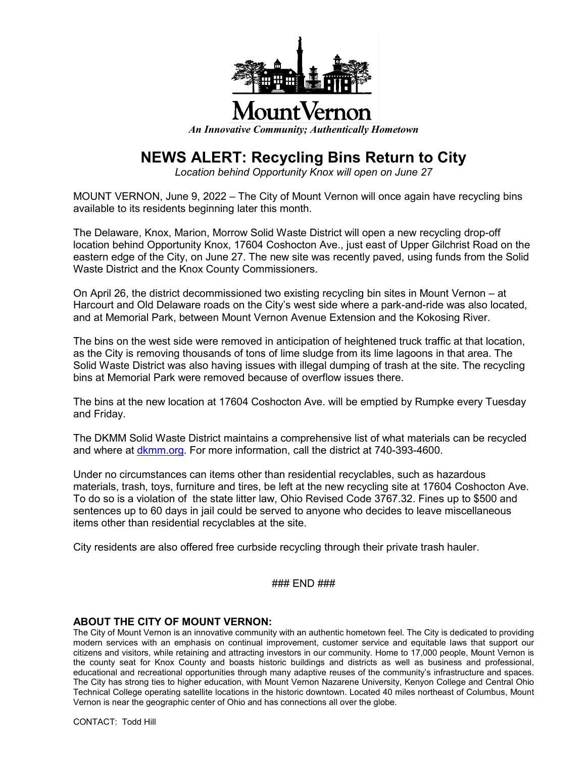

## **JountVernon**

*An Innovative Community; Authentically Hometown*

## **NEWS ALERT: Recycling Bins Return to City**

*Location behind Opportunity Knox will open on June 27*

MOUNT VERNON, June 9, 2022 – The City of Mount Vernon will once again have recycling bins available to its residents beginning later this month.

The Delaware, Knox, Marion, Morrow Solid Waste District will open a new recycling drop-off location behind Opportunity Knox, 17604 Coshocton Ave., just east of Upper Gilchrist Road on the eastern edge of the City, on June 27. The new site was recently paved, using funds from the Solid Waste District and the Knox County Commissioners.

On April 26, the district decommissioned two existing recycling bin sites in Mount Vernon – at Harcourt and Old Delaware roads on the City's west side where a park-and-ride was also located, and at Memorial Park, between Mount Vernon Avenue Extension and the Kokosing River.

The bins on the west side were removed in anticipation of heightened truck traffic at that location, as the City is removing thousands of tons of lime sludge from its lime lagoons in that area. The Solid Waste District was also having issues with illegal dumping of trash at the site. The recycling bins at Memorial Park were removed because of overflow issues there.

The bins at the new location at 17604 Coshocton Ave. will be emptied by Rumpke every Tuesday and Friday.

The DKMM Solid Waste District maintains a comprehensive list of what materials can be recycled and where at dkmm.org. For more information, call the district at 740-393-4600.

Under no circumstances can items other than residential recyclables, such as hazardous materials, trash, toys, furniture and tires, be left at the new recycling site at 17604 Coshocton Ave. To do so is a violation of the state litter law, Ohio Revised Code 3767.32. Fines up to \$500 and sentences up to 60 days in jail could be served to anyone who decides to leave miscellaneous items other than residential recyclables at the site.

City residents are also offered free curbside recycling through their private trash hauler.

## ### END ###

## **ABOUT THE CITY OF MOUNT VERNON:**

The City of Mount Vernon is an innovative community with an authentic hometown feel. The City is dedicated to providing modern services with an emphasis on continual improvement, customer service and equitable laws that support our citizens and visitors, while retaining and attracting investors in our community. Home to 17,000 people, Mount Vernon is the county seat for Knox County and boasts historic buildings and districts as well as business and professional, educational and recreational opportunities through many adaptive reuses of the community's infrastructure and spaces. The City has strong ties to higher education, with Mount Vernon Nazarene University, Kenyon College and Central Ohio Technical College operating satellite locations in the historic downtown. Located 40 miles northeast of Columbus, Mount Vernon is near the geographic center of Ohio and has connections all over the globe.